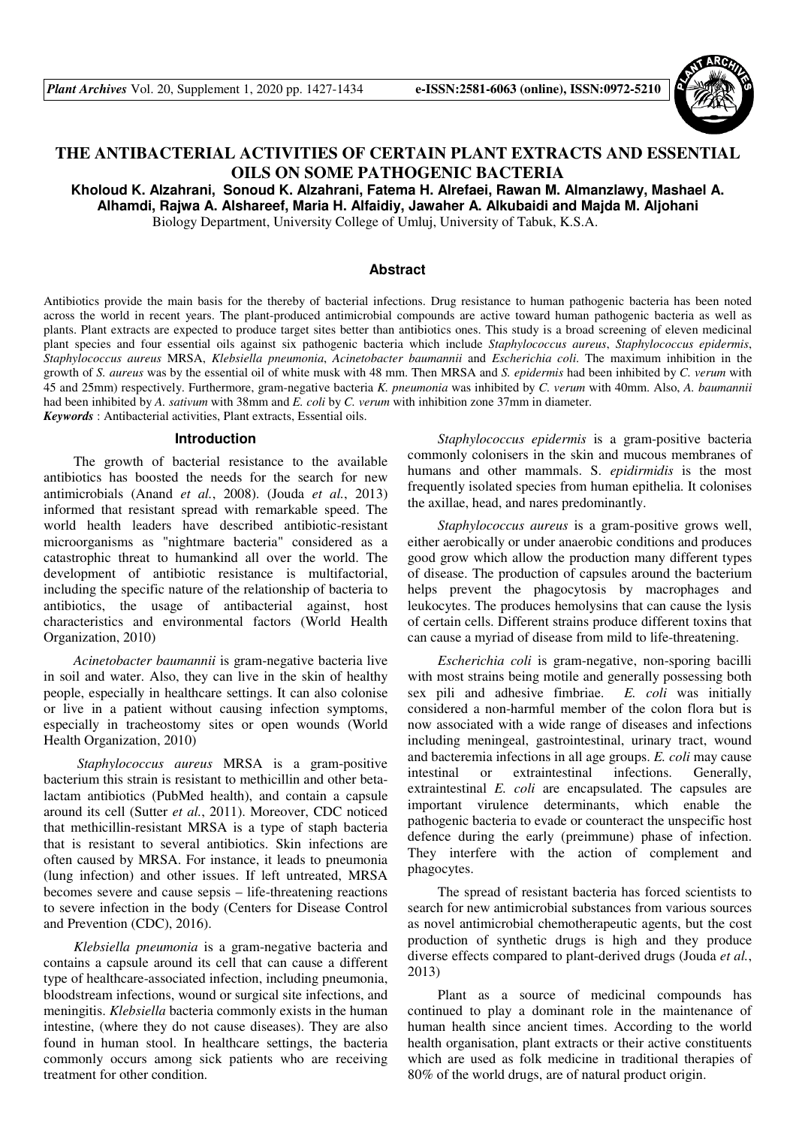

# **THE ANTIBACTERIAL ACTIVITIES OF CERTAIN PLANT EXTRACTS AND ESSENTIAL OILS ON SOME PATHOGENIC BACTERIA**

**Kholoud K. Alzahrani, Sonoud K. Alzahrani, Fatema H. Alrefaei, Rawan M. Almanzlawy, Mashael A. Alhamdi, Rajwa A. Alshareef, Maria H. Alfaidiy, Jawaher A. Alkubaidi and Majda M. Aljohani** 

Biology Department, University College of Umluj, University of Tabuk, K.S.A.

### **Abstract**

Antibiotics provide the main basis for the thereby of bacterial infections. Drug resistance to human pathogenic bacteria has been noted across the world in recent years. The plant-produced antimicrobial compounds are active toward human pathogenic bacteria as well as plants. Plant extracts are expected to produce target sites better than antibiotics ones. This study is a broad screening of eleven medicinal plant species and four essential oils against six pathogenic bacteria which include *Staphylococcus aureus*, *Staphylococcus epidermis*, *Staphylococcus aureus* MRSA, *Klebsiella pneumonia*, *Acinetobacter baumannii* and *Escherichia coli*. The maximum inhibition in the growth of *S. aureus* was by the essential oil of white musk with 48 mm. Then MRSA and *S. epidermis* had been inhibited by *C. verum* with 45 and 25mm) respectively. Furthermore, gram-negative bacteria *K. pneumonia* was inhibited by *C. verum* with 40mm. Also, *A. baumannii* had been inhibited by *A. sativum* with 38mm and *E. coli* by *C. verum* with inhibition zone 37mm in diameter. *Keywords* : Antibacterial activities, Plant extracts, Essential oils.

#### **Introduction**

The growth of bacterial resistance to the available antibiotics has boosted the needs for the search for new antimicrobials (Anand *et al.*, 2008). (Jouda *et al.*, 2013) informed that resistant spread with remarkable speed. The world health leaders have described antibiotic-resistant microorganisms as "nightmare bacteria" considered as a catastrophic threat to humankind all over the world. The development of antibiotic resistance is multifactorial, including the specific nature of the relationship of bacteria to antibiotics, the usage of antibacterial against, host characteristics and environmental factors (World Health Organization, 2010)

*Acinetobacter baumannii* is gram-negative bacteria live in soil and water. Also, they can live in the skin of healthy people, especially in healthcare settings. It can also colonise or live in a patient without causing infection symptoms, especially in tracheostomy sites or open wounds (World Health Organization, 2010)

 *Staphylococcus aureus* MRSA is a gram-positive bacterium this strain is resistant to methicillin and other betalactam antibiotics (PubMed health), and contain a capsule around its cell (Sutter *et al.*, 2011). Moreover, CDC noticed that methicillin-resistant MRSA is a type of staph bacteria that is resistant to several antibiotics. Skin infections are often caused by MRSA. For instance, it leads to pneumonia (lung infection) and other issues. If left untreated, MRSA becomes severe and cause sepsis – life-threatening reactions to severe infection in the body (Centers for Disease Control and Prevention (CDC), 2016).

*Klebsiella pneumonia* is a gram-negative bacteria and contains a capsule around its cell that can cause a different type of healthcare-associated infection, including pneumonia, bloodstream infections, wound or surgical site infections, and meningitis. *Klebsiella* bacteria commonly exists in the human intestine, (where they do not cause diseases). They are also found in human stool. In healthcare settings, the bacteria commonly occurs among sick patients who are receiving treatment for other condition.

*Staphylococcus epidermis* is a gram-positive bacteria commonly colonisers in the skin and mucous membranes of humans and other mammals. S. *epidirmidis* is the most frequently isolated species from human epithelia. It colonises the axillae, head, and nares predominantly.

*Staphylococcus aureus* is a gram-positive grows well, either aerobically or under anaerobic conditions and produces good grow which allow the production many different types of disease. The production of capsules around the bacterium helps prevent the phagocytosis by macrophages and leukocytes. The produces hemolysins that can cause the lysis of certain cells. Different strains produce different toxins that can cause a myriad of disease from mild to life-threatening.

*Escherichia coli* is gram-negative, non-sporing bacilli with most strains being motile and generally possessing both sex pili and adhesive fimbriae. *E. coli* was initially considered a non-harmful member of the colon flora but is now associated with a wide range of diseases and infections including meningeal, gastrointestinal, urinary tract, wound and bacteremia infections in all age groups. *E. coli* may cause intestinal or extraintestinal infections. Generally, extraintestinal *E. coli* are encapsulated. The capsules are important virulence determinants, which enable the pathogenic bacteria to evade or counteract the unspecific host defence during the early (preimmune) phase of infection. They interfere with the action of complement and phagocytes.

The spread of resistant bacteria has forced scientists to search for new antimicrobial substances from various sources as novel antimicrobial chemotherapeutic agents, but the cost production of synthetic drugs is high and they produce diverse effects compared to plant-derived drugs (Jouda *et al.*, 2013)

Plant as a source of medicinal compounds has continued to play a dominant role in the maintenance of human health since ancient times. According to the world health organisation, plant extracts or their active constituents which are used as folk medicine in traditional therapies of 80% of the world drugs, are of natural product origin.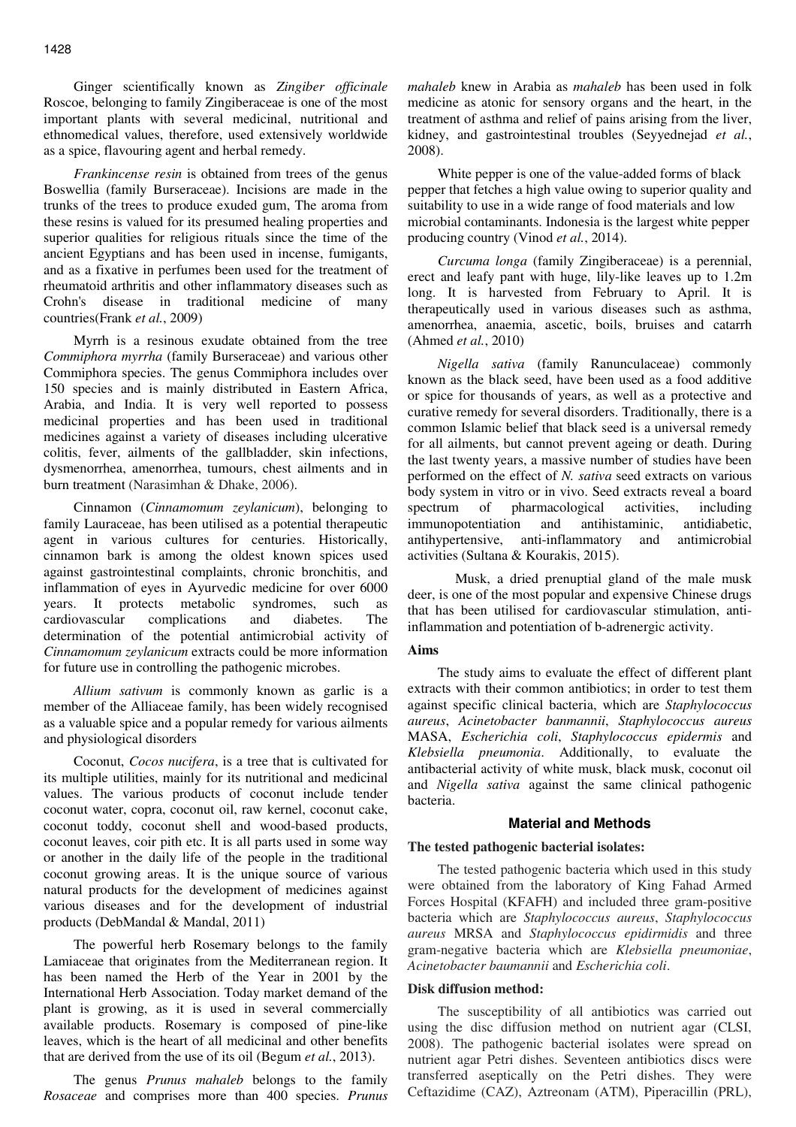Ginger scientifically known as *Zingiber officinale* Roscoe, belonging to family Zingiberaceae is one of the most important plants with several medicinal, nutritional and ethnomedical values, therefore, used extensively worldwide as a spice, flavouring agent and herbal remedy.

*Frankincense resin* is obtained from trees of the genus Boswellia (family Burseraceae). Incisions are made in the trunks of the trees to produce exuded gum, The aroma from these resins is valued for its presumed healing properties and superior qualities for religious rituals since the time of the ancient Egyptians and has been used in incense, fumigants, and as a fixative in perfumes been used for the treatment of rheumatoid arthritis and other inflammatory diseases such as Crohn's disease in traditional medicine of many countries(Frank *et al.*, 2009)

Myrrh is a resinous exudate obtained from the tree *Commiphora myrrha* (family Burseraceae) and various other Commiphora species. The genus Commiphora includes over 150 species and is mainly distributed in Eastern Africa, Arabia, and India. It is very well reported to possess medicinal properties and has been used in traditional medicines against a variety of diseases including ulcerative colitis, fever, ailments of the gallbladder, skin infections, dysmenorrhea, amenorrhea, tumours, chest ailments and in burn treatment (Narasimhan & Dhake, 2006).

Cinnamon (*Cinnamomum zeylanicum*), belonging to family Lauraceae, has been utilised as a potential therapeutic agent in various cultures for centuries. Historically, cinnamon bark is among the oldest known spices used against gastrointestinal complaints, chronic bronchitis, and inflammation of eyes in Ayurvedic medicine for over 6000 years. It protects metabolic syndromes, such as cardiovascular complications and diabetes. The determination of the potential antimicrobial activity of *Cinnamomum zeylanicum* extracts could be more information for future use in controlling the pathogenic microbes.

*Allium sativum* is commonly known as garlic is a member of the Alliaceae family, has been widely recognised as a valuable spice and a popular remedy for various ailments and physiological disorders

Coconut, *Cocos nucifera*, is a tree that is cultivated for its multiple utilities, mainly for its nutritional and medicinal values. The various products of coconut include tender coconut water, copra, coconut oil, raw kernel, coconut cake, coconut toddy, coconut shell and wood-based products, coconut leaves, coir pith etc. It is all parts used in some way or another in the daily life of the people in the traditional coconut growing areas. It is the unique source of various natural products for the development of medicines against various diseases and for the development of industrial products (DebMandal & Mandal, 2011)

The powerful herb Rosemary belongs to the family Lamiaceae that originates from the Mediterranean region. It has been named the Herb of the Year in 2001 by the International Herb Association. Today market demand of the plant is growing, as it is used in several commercially available products. Rosemary is composed of pine-like leaves, which is the heart of all medicinal and other benefits that are derived from the use of its oil (Begum *et al.*, 2013).

The genus *Prunus mahaleb* belongs to the family *Rosaceae* and comprises more than 400 species. *Prunus*  *mahaleb* knew in Arabia as *mahaleb* has been used in folk medicine as atonic for sensory organs and the heart, in the treatment of asthma and relief of pains arising from the liver, kidney, and gastrointestinal troubles (Seyyednejad *et al.*, 2008).

White pepper is one of the value-added forms of black pepper that fetches a high value owing to superior quality and suitability to use in a wide range of food materials and low microbial contaminants. Indonesia is the largest white pepper producing country (Vinod *et al.*, 2014).

*Curcuma longa* (family Zingiberaceae) is a perennial, erect and leafy pant with huge, lily-like leaves up to 1.2m long. It is harvested from February to April. It is therapeutically used in various diseases such as asthma, amenorrhea, anaemia, ascetic, boils, bruises and catarrh (Ahmed *et al.*, 2010)

*Nigella sativa* (family Ranunculaceae) commonly known as the black seed, have been used as a food additive or spice for thousands of years, as well as a protective and curative remedy for several disorders. Traditionally, there is a common Islamic belief that black seed is a universal remedy for all ailments, but cannot prevent ageing or death. During the last twenty years, a massive number of studies have been performed on the effect of *N. sativa* seed extracts on various body system in vitro or in vivo. Seed extracts reveal a board spectrum of pharmacological activities, including immunopotentiation and antihistaminic, antidiabetic, antihypertensive, anti-inflammatory and antimicrobial activities (Sultana & Kourakis, 2015).

 Musk, a dried prenuptial gland of the male musk deer, is one of the most popular and expensive Chinese drugs that has been utilised for cardiovascular stimulation, antiinflammation and potentiation of b-adrenergic activity.

### **Aims**

The study aims to evaluate the effect of different plant extracts with their common antibiotics; in order to test them against specific clinical bacteria, which are *Staphylococcus aureus*, *Acinetobacter banmannii*, *Staphylococcus aureus* MASA, *Escherichia coli*, *Staphylococcus epidermis* and *Klebsiella pneumonia*. Additionally, to evaluate the antibacterial activity of white musk, black musk, coconut oil and *Nigella sativa* against the same clinical pathogenic bacteria.

#### **Material and Methods**

### **The tested pathogenic bacterial isolates:**

The tested pathogenic bacteria which used in this study were obtained from the laboratory of King Fahad Armed Forces Hospital (KFAFH) and included three gram-positive bacteria which are *Staphylococcus aureus*, *Staphylococcus aureus* MRSA and *Staphylococcus epidirmidis* and three gram-negative bacteria which are *Klebsiella pneumoniae*, *Acinetobacter baumannii* and *Escherichia coli*.

## **Disk diffusion method:**

The susceptibility of all antibiotics was carried out using the disc diffusion method on nutrient agar (CLSI, 2008). The pathogenic bacterial isolates were spread on nutrient agar Petri dishes. Seventeen antibiotics discs were transferred aseptically on the Petri dishes. They were Ceftazidime (CAZ), Aztreonam (ATM), Piperacillin (PRL),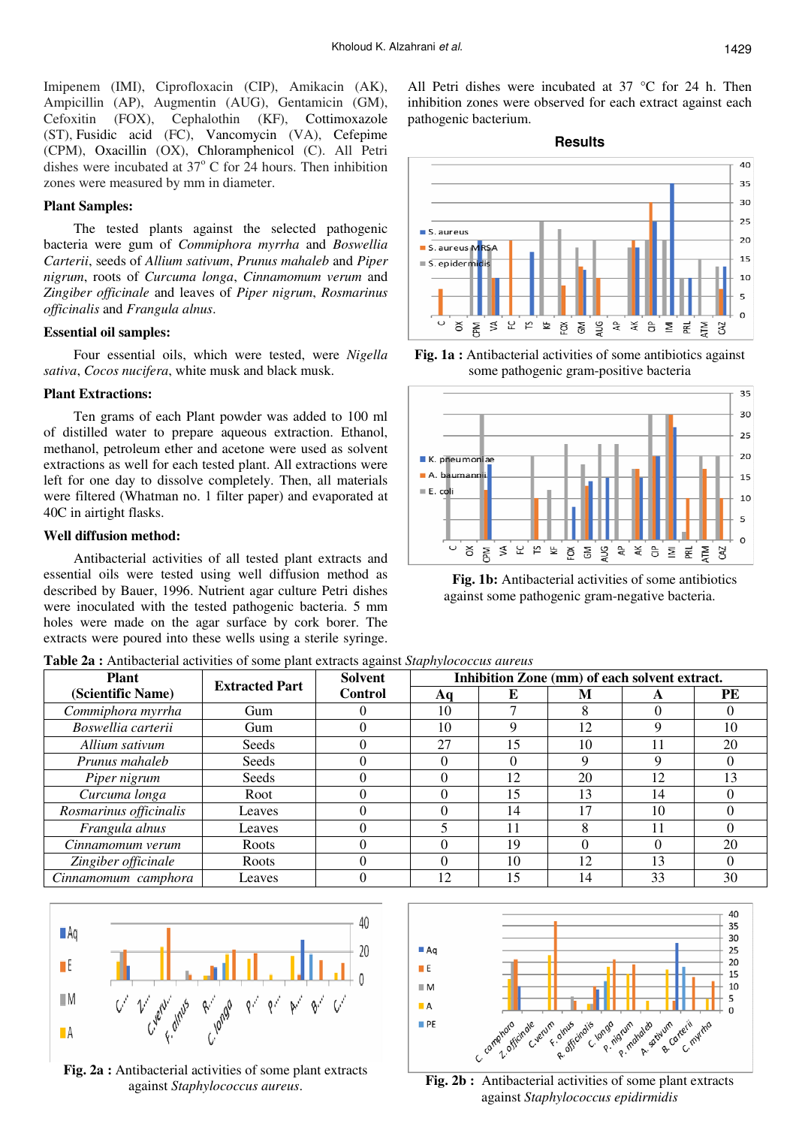Imipenem (IMI), Ciprofloxacin (CIP), Amikacin (AK), Ampicillin (AP), Augmentin (AUG), Gentamicin (GM), Cefoxitin (FOX), Cephalothin (KF), Cottimoxazole (ST), Fusidic acid (FC), Vancomycin (VA), Cefepime (CPM), Oxacillin (OX), Chloramphenicol (C). All Petri dishes were incubated at  $37^{\circ}$  C for 24 hours. Then inhibition zones were measured by mm in diameter.

### **Plant Samples:**

The tested plants against the selected pathogenic bacteria were gum of *Commiphora myrrha* and *Boswellia Carterii*, seeds of *Allium sativum*, *Prunus mahaleb* and *Piper nigrum*, roots of *Curcuma longa*, *Cinnamomum verum* and *Zingiber officinale* and leaves of *Piper nigrum*, *Rosmarinus officinalis* and *Frangula alnus*.

## **Essential oil samples:**

Four essential oils, which were tested, were *Nigella sativa*, *Cocos nucifera*, white musk and black musk.

#### **Plant Extractions:**

Ten grams of each Plant powder was added to 100 ml of distilled water to prepare aqueous extraction. Ethanol, methanol, petroleum ether and acetone were used as solvent extractions as well for each tested plant. All extractions were left for one day to dissolve completely. Then, all materials were filtered (Whatman no. 1 filter paper) and evaporated at 40C in airtight flasks.

#### **Well diffusion method:**

Antibacterial activities of all tested plant extracts and essential oils were tested using well diffusion method as described by Bauer, 1996. Nutrient agar culture Petri dishes were inoculated with the tested pathogenic bacteria. 5 mm holes were made on the agar surface by cork borer. The extracts were poured into these wells using a sterile syringe.

All Petri dishes were incubated at 37 °C for 24 h. Then inhibition zones were observed for each extract against each pathogenic bacterium.

**Results** 



**Fig. 1a :** Antibacterial activities of some antibiotics against some pathogenic gram-positive bacteria



**Fig. 1b:** Antibacterial activities of some antibiotics against some pathogenic gram-negative bacteria.

| <b>Plant</b>      | <b>Extracted Part</b> | Solvent  | Inhibition Zone (mm) of each solvent extract. |  |   |  |  |  |  |
|-------------------|-----------------------|----------|-----------------------------------------------|--|---|--|--|--|--|
| (Scientific Name) |                       | .`ontrol |                                               |  | M |  |  |  |  |

**Table 2a :** Antibacterial activities of some plant extracts against *Staphylococcus aureus* 

| л мин                  | <b>Extracted Part</b> | ovinci         |    |    | THINDINGH ZONG (HIII) OF GACH SOFTCHE CALLACH |    |    |
|------------------------|-----------------------|----------------|----|----|-----------------------------------------------|----|----|
| (Scientific Name)      |                       | <b>Control</b> | Aq | E  | М                                             | A  | PE |
| Commiphora myrrha      | Gum                   |                | 10 |    |                                               |    |    |
| Boswellia carterii     | Gum                   |                | 10 | Q  | 12                                            | Q  | 10 |
| Allium sativum         | Seeds                 |                | 27 | 15 | 10                                            |    | 20 |
| Prunus mahaleb         | Seeds                 |                |    |    | Q                                             | Q  |    |
| Piper nigrum           | Seeds                 |                |    | 12 | 20                                            | 12 | 13 |
| Curcuma longa          | Root                  |                |    | 15 | 13                                            | 14 |    |
| Rosmarinus officinalis | Leaves                |                |    | 14 | 17                                            | 10 |    |
| Frangula alnus         | Leaves                |                |    |    |                                               |    |    |
| Cinnamomum verum       | Roots                 |                |    | 19 | 0                                             | 0  | 20 |
| Zingiber officinale    | Roots                 |                |    | 10 | 12                                            | 13 |    |
| Cinnamomum camphora    | Leaves                |                | 12 |    | 14                                            | 33 | 30 |



**Fig. 2a :** Antibacterial activities of some plant extracts against *Staphylococcus aureus*.



Fig. 2b : Antibacterial activities of some plant extracts against *Staphylococcus epidirmidis*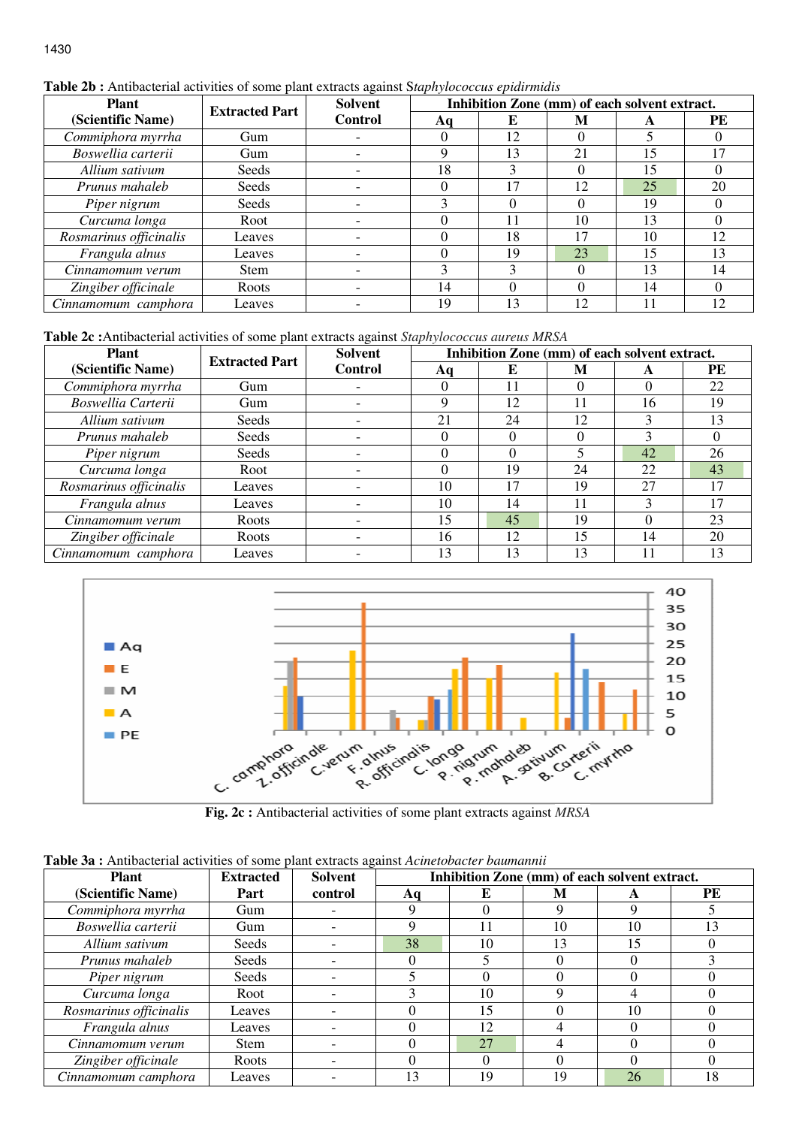## **Table 2b :** Antibacterial activities of some plant extracts against S*taphylococcus epidirmidis*

| <b>Plant</b>                         | <b>Extracted Part</b> | Solvent        |              |    |          | Inhibition Zone (mm) of each solvent extract. |           |
|--------------------------------------|-----------------------|----------------|--------------|----|----------|-----------------------------------------------|-----------|
| (Scientific Name)                    |                       | <b>Control</b> | Aq           | E  | M        | A                                             | <b>PE</b> |
| Commiphora myrrha                    | Gum                   |                | 0            | 12 |          |                                               |           |
| Boswellia carterii                   | Gum                   |                | Q            | 13 | 21       | 15                                            |           |
| Allium sativum                       | Seeds                 |                | 18           |    | $\theta$ | 15                                            |           |
| Prunus mahaleb                       | Seeds                 |                | 0            | 17 | 12       | 25                                            | 20        |
| Piper nigrum                         | Seeds                 |                | 3            |    | 0        | 19                                            | $_{0}$    |
| Curcuma longa                        | Root                  |                | 0            | 11 | 10       | 13                                            | 0         |
| $\overline{Ros}$ marinus officinalis | Leaves                |                | 0            | 18 |          | 10                                            | 12        |
| Frangula alnus                       | Leaves                |                | $\Omega$     | 19 | 23       | 15                                            | 13        |
| Cinnamomum verum                     | <b>Stem</b>           |                | $\mathbf{3}$ | κ  |          | 13                                            | 14        |
| Zingiber officinale                  | Roots                 |                | 14           |    | 0        | 14                                            |           |
| Cinnamomum camphora                  | Leaves                |                | 19           | 13 | 12       |                                               | 12        |

**Table 2c :**Antibacterial activities of some plant extracts against *Staphylococcus aureus MRSA*

| <b>Plant</b>                         | <b>Extracted Part</b> | <b>Solvent</b> |          |    |    | Inhibition Zone (mm) of each solvent extract. |    |
|--------------------------------------|-----------------------|----------------|----------|----|----|-----------------------------------------------|----|
| (Scientific Name)                    |                       | <b>Control</b> | Aq       | E  | M  | A                                             | PE |
| Commiphora myrrha                    | Gum                   |                | $\Omega$ | 11 | 0  |                                               | 22 |
| Boswellia Carterii                   | Gum                   |                | 9        | 12 | 11 | 16                                            | 19 |
| Allium sativum                       | Seeds                 |                | 21       | 24 | 12 |                                               | 13 |
| Prunus mahaleb                       | Seeds                 |                | $\theta$ |    | 0  | $\mathcal{F}$                                 | 0  |
| Piper nigrum                         | Seeds                 |                | $\Omega$ |    |    | 42                                            | 26 |
| Curcuma longa                        | Root                  |                | $\Omega$ | 19 | 24 | 22                                            | 43 |
| $\overline{Ros}$ marinus officinalis | Leaves                |                | 10       | 17 | 19 | 27                                            |    |
| Frangula alnus                       | Leaves                |                | 10       | 14 | 11 |                                               |    |
| Cinnamomum verum                     | Roots                 |                | 15       | 45 | 19 |                                               | 23 |
| Zingiber officinale                  | Roots                 |                | 16       | 12 | 15 | 14                                            | 20 |
| Cinnamomum camphora                  | Leaves                |                | 13       | 13 | 13 |                                               |    |



**Fig. 2c :** Antibacterial activities of some plant extracts against *MRSA*

**Table 3a :** Antibacterial activities of some plant extracts against *Acinetobacter baumannii*

| <b>Plant</b>           | <b>Extracted</b> | Solvent | Inhibition Zone (mm) of each solvent extract. |          |    |    |           |
|------------------------|------------------|---------|-----------------------------------------------|----------|----|----|-----------|
| (Scientific Name)      | Part             | control | Aa                                            | E        | М  | A  | <b>PE</b> |
| Commiphora myrrha      | Gum              |         |                                               |          | Q  | 9  |           |
| Boswellia carterii     | Gum              |         | Q                                             | 11       | 10 | 10 | 13        |
| Allium sativum         | Seeds            |         | 38                                            | 10       | 13 | 15 |           |
| Prunus mahaleb         | Seeds            |         |                                               |          |    | 0  |           |
| Piper nigrum           | Seeds            |         |                                               | $\theta$ |    | 0  |           |
| Curcuma longa          | Root             |         |                                               | 10       |    | 4  |           |
| Rosmarinus officinalis | Leaves           |         |                                               | 15       |    | 10 |           |
| Frangula alnus         | Leaves           |         |                                               | 12       |    |    |           |
| Cinnamomum verum       | Stem             |         |                                               | 27       |    | 0  |           |
| Zingiber officinale    | Roots            |         |                                               | $\Omega$ |    | 0  |           |
| Cinnamomum camphora    | Leaves           |         | 13                                            | 19       | 19 | 26 | 18        |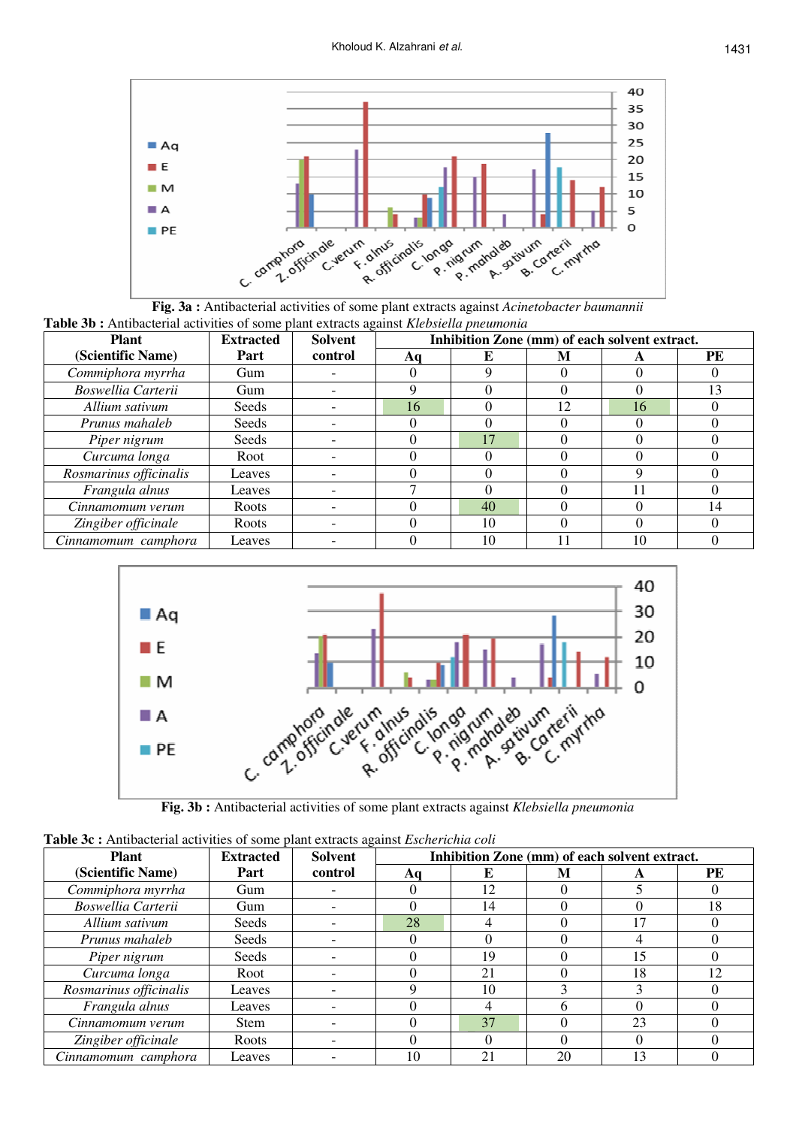

**Fig. 3a :** Antibacterial activities of some plant extracts against *Acinetobacter baumannii* **Table 3b :** Antibacterial activities of some plant extracts against *Klebsiella pneumonia*

| <b>Plant</b>           | <b>Extracted</b> | Inhibition Zone (mm) of each solvent extract.<br><b>Solvent</b> |    |    |    |    |               |
|------------------------|------------------|-----------------------------------------------------------------|----|----|----|----|---------------|
| (Scientific Name)      | Part             | control                                                         | Aa |    | M  | A  | PE            |
| Commiphora myrrha      | Gum              |                                                                 |    |    |    |    |               |
| Boswellia Carterii     | Gum              |                                                                 |    |    |    |    | $\mathcal{R}$ |
| Allium sativum         | Seeds            |                                                                 | 16 |    | 12 | 16 |               |
| Prunus mahaleb         | Seeds            |                                                                 |    |    |    |    |               |
| Piper nigrum           | Seeds            |                                                                 |    | 17 |    |    |               |
| Curcuma longa          | Root             |                                                                 |    |    |    |    |               |
| Rosmarinus officinalis | Leaves           |                                                                 |    |    |    |    |               |
| Frangula alnus         | Leaves           |                                                                 |    |    |    |    |               |
| Cinnamomum verum       | Roots            |                                                                 |    | 40 |    |    | 14            |
| Zingiber officinale    | Roots            |                                                                 |    | 10 |    |    |               |
| Cinnamomum camphora    | Leaves           |                                                                 |    | 10 |    | 10 |               |



**Fig. 3b :** Antibacterial activities of some plant extracts against *Klebsiella pneumonia*

| <b>Extracted</b> Colvent<br>Plant                                                                 | <b>Inhibition Zone (1</b> |
|---------------------------------------------------------------------------------------------------|---------------------------|
| <b>Table 3c :</b> Antibacterial activities of some plant extracts against <i>Escherichia coli</i> |                           |

| <b>Plant</b>           | <b>Extracted</b> | <b>Solvent</b> | Inhibition Zone (mm) of each solvent extract. |    |    |    |    |
|------------------------|------------------|----------------|-----------------------------------------------|----|----|----|----|
| (Scientific Name)      | Part             | control        | Aq                                            |    | M  |    | PE |
| Commiphora myrrha      | Gum              |                |                                               | 12 |    |    |    |
| Boswellia Carterii     | Gum              |                |                                               | 14 |    |    | 18 |
| Allium sativum         | Seeds            |                | 28                                            |    |    |    |    |
| Prunus mahaleb         | Seeds            |                |                                               |    |    |    |    |
| Piper nigrum           | Seeds            |                |                                               | 19 |    | 15 |    |
| Curcuma longa          | Root             |                |                                               | 21 |    | 18 | 12 |
| Rosmarinus officinalis | Leaves           |                |                                               | 10 |    |    |    |
| Frangula alnus         | Leaves           |                |                                               |    |    |    |    |
| Cinnamomum verum       | Stem             |                |                                               | 37 |    | 23 |    |
| Zingiber officinale    | Roots            |                |                                               |    |    |    |    |
| Cinnamomum camphora    | Leaves           |                | 10                                            | 21 | 20 |    |    |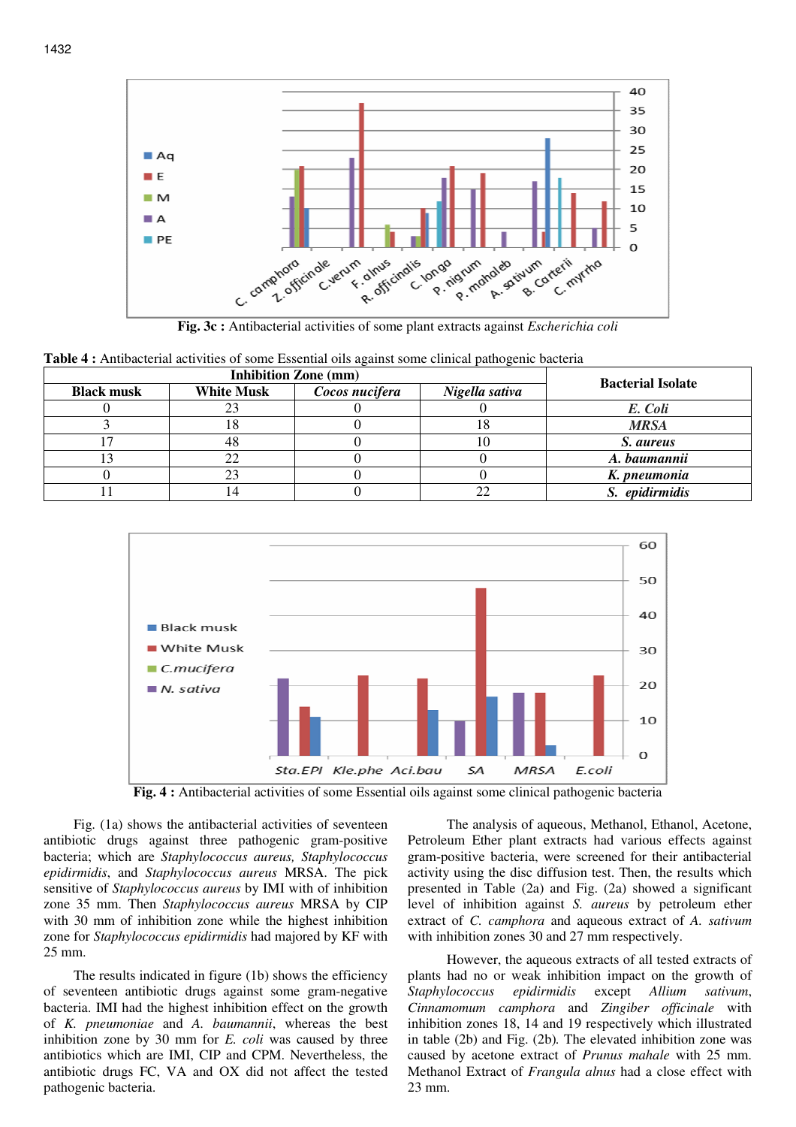

**Fig. 3c :** Antibacterial activities of some plant extracts against *Escherichia coli* 

**Table 4 :** Antibacterial activities of some Essential oils against some clinical pathogenic bacteria

|                   | <b>Bacterial Isolate</b> |                |                |                |
|-------------------|--------------------------|----------------|----------------|----------------|
| <b>Black musk</b> | <b>White Musk</b>        | Cocos nucifera | Nigella sativa |                |
|                   |                          |                |                | E. Coli        |
|                   | 10                       |                | 1 O            | <b>MRSA</b>    |
|                   |                          |                | ΙU             | S. aureus      |
|                   |                          |                |                | A. baumannii   |
|                   |                          |                |                | K. pneumonia   |
|                   |                          |                |                | S. epidirmidis |



**Fig. 4 :** Antibacterial activities of some Essential oils against some clinical pathogenic bacteria

Fig. (1a) shows the antibacterial activities of seventeen antibiotic drugs against three pathogenic gram-positive bacteria; which are *Staphylococcus aureus, Staphylococcus epidirmidis*, and *Staphylococcus aureus* MRSA. The pick sensitive of *Staphylococcus aureus* by IMI with of inhibition zone 35 mm. Then *Staphylococcus aureus* MRSA by CIP with 30 mm of inhibition zone while the highest inhibition zone for *Staphylococcus epidirmidis* had majored by KF with 25 mm.

The results indicated in figure (1b) shows the efficiency of seventeen antibiotic drugs against some gram-negative bacteria. IMI had the highest inhibition effect on the growth of *K. pneumoniae* and *A. baumannii*, whereas the best inhibition zone by 30 mm for *E. coli* was caused by three antibiotics which are IMI, CIP and CPM. Nevertheless, the antibiotic drugs FC, VA and OX did not affect the tested pathogenic bacteria.

 The analysis of aqueous, Methanol, Ethanol, Acetone, Petroleum Ether plant extracts had various effects against gram-positive bacteria, were screened for their antibacterial activity using the disc diffusion test. Then, the results which presented in Table (2a) and Fig. (2a) showed a significant level of inhibition against *S. aureus* by petroleum ether extract of *C. camphora* and aqueous extract of *A. sativum* with inhibition zones 30 and 27 mm respectively.

 However, the aqueous extracts of all tested extracts of plants had no or weak inhibition impact on the growth of *Staphylococcus epidirmidis* except *Allium sativum*, *Cinnamomum camphora* and *Zingiber officinale* with inhibition zones 18, 14 and 19 respectively which illustrated in table (2b) and Fig. (2b)*.* The elevated inhibition zone was caused by acetone extract of *Prunus mahale* with 25 mm. Methanol Extract of *Frangula alnus* had a close effect with 23 mm.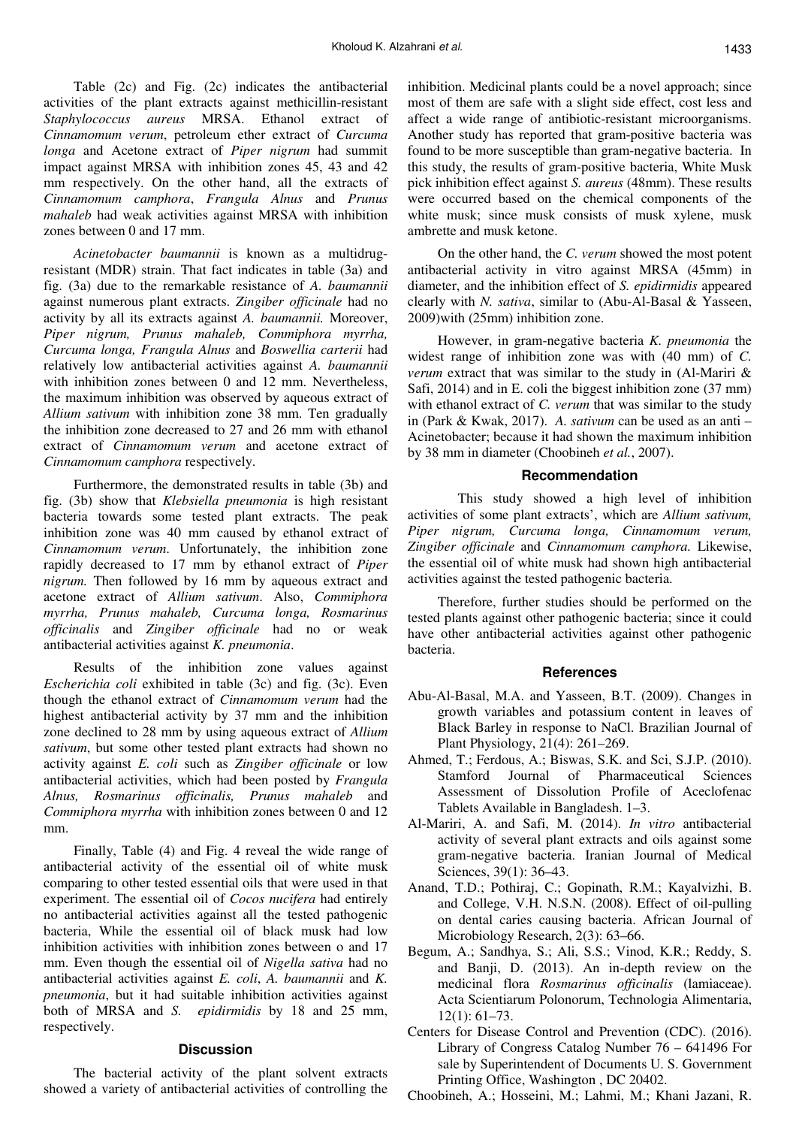Table (2c) and Fig. (2c) indicates the antibacterial activities of the plant extracts against methicillin-resistant *Staphylococcus aureus* MRSA. Ethanol extract of *Cinnamomum verum*, petroleum ether extract of *Curcuma longa* and Acetone extract of *Piper nigrum* had summit impact against MRSA with inhibition zones 45, 43 and 42 mm respectively. On the other hand, all the extracts of *Cinnamomum camphora*, *Frangula Alnus* and *Prunus mahaleb* had weak activities against MRSA with inhibition zones between 0 and 17 mm.

*Acinetobacter baumannii* is known as a multidrugresistant (MDR) strain. That fact indicates in table (3a) and fig. (3a) due to the remarkable resistance of *A. baumannii* against numerous plant extracts. *Zingiber officinale* had no activity by all its extracts against *A. baumannii.* Moreover, *Piper nigrum, Prunus mahaleb, Commiphora myrrha, Curcuma longa, Frangula Alnus* and *Boswellia carterii* had relatively low antibacterial activities against *A. baumannii*  with inhibition zones between 0 and 12 mm. Nevertheless, the maximum inhibition was observed by aqueous extract of *Allium sativum* with inhibition zone 38 mm. Ten gradually the inhibition zone decreased to 27 and 26 mm with ethanol extract of *Cinnamomum verum* and acetone extract of *Cinnamomum camphora* respectively.

Furthermore, the demonstrated results in table (3b) and fig. (3b) show that *Klebsiella pneumonia* is high resistant bacteria towards some tested plant extracts. The peak inhibition zone was 40 mm caused by ethanol extract of *Cinnamomum verum*. Unfortunately, the inhibition zone rapidly decreased to 17 mm by ethanol extract of *Piper nigrum.* Then followed by 16 mm by aqueous extract and acetone extract of *Allium sativum*. Also, *Commiphora myrrha, Prunus mahaleb, Curcuma longa, Rosmarinus officinalis* and *Zingiber officinale* had no or weak antibacterial activities against *K. pneumonia*.

Results of the inhibition zone values against *Escherichia coli* exhibited in table (3c) and fig. (3c). Even though the ethanol extract of *Cinnamomum verum* had the highest antibacterial activity by 37 mm and the inhibition zone declined to 28 mm by using aqueous extract of *Allium sativum*, but some other tested plant extracts had shown no activity against *E. coli* such as *Zingiber officinale* or low antibacterial activities, which had been posted by *Frangula Alnus, Rosmarinus officinalis, Prunus mahaleb* and *Commiphora myrrha* with inhibition zones between 0 and 12 mm.

Finally, Table (4) and Fig. 4 reveal the wide range of antibacterial activity of the essential oil of white musk comparing to other tested essential oils that were used in that experiment. The essential oil of *Cocos nucifera* had entirely no antibacterial activities against all the tested pathogenic bacteria, While the essential oil of black musk had low inhibition activities with inhibition zones between o and 17 mm. Even though the essential oil of *Nigella sativa* had no antibacterial activities against *E. coli*, *A. baumannii* and *K. pneumonia*, but it had suitable inhibition activities against both of MRSA and *S. epidirmidis* by 18 and 25 mm, respectively.

#### **Discussion**

The bacterial activity of the plant solvent extracts showed a variety of antibacterial activities of controlling the

inhibition. Medicinal plants could be a novel approach; since most of them are safe with a slight side effect, cost less and affect a wide range of antibiotic-resistant microorganisms. Another study has reported that gram-positive bacteria was found to be more susceptible than gram-negative bacteria. In this study, the results of gram-positive bacteria, White Musk pick inhibition effect against *S. aureus* (48mm). These results were occurred based on the chemical components of the white musk; since musk consists of musk xylene, musk ambrette and musk ketone.

On the other hand, the *C. verum* showed the most potent antibacterial activity in vitro against MRSA (45mm) in diameter, and the inhibition effect of *S. epidirmidis* appeared clearly with *N. sativa*, similar to (Abu-Al-Basal & Yasseen, 2009)with (25mm) inhibition zone.

However, in gram-negative bacteria *K. pneumonia* the widest range of inhibition zone was with (40 mm) of *C. verum* extract that was similar to the study in (Al-Mariri & Safi, 2014) and in E. coli the biggest inhibition zone (37 mm) with ethanol extract of *C. verum* that was similar to the study in (Park & Kwak, 2017). *A. sativum* can be used as an anti – Acinetobacter; because it had shown the maximum inhibition by 38 mm in diameter (Choobineh *et al.*, 2007).

## **Recommendation**

 This study showed a high level of inhibition activities of some plant extracts', which are *Allium sativum, Piper nigrum, Curcuma longa, Cinnamomum verum, Zingiber officinale* and *Cinnamomum camphora.* Likewise, the essential oil of white musk had shown high antibacterial activities against the tested pathogenic bacteria.

Therefore, further studies should be performed on the tested plants against other pathogenic bacteria; since it could have other antibacterial activities against other pathogenic bacteria.

#### **References**

- Abu-Al-Basal, M.A. and Yasseen, B.T. (2009). Changes in growth variables and potassium content in leaves of Black Barley in response to NaCl. Brazilian Journal of Plant Physiology, 21(4): 261–269.
- Ahmed, T.; Ferdous, A.; Biswas, S.K. and Sci, S.J.P. (2010). Stamford Journal of Pharmaceutical Sciences Assessment of Dissolution Profile of Aceclofenac Tablets Available in Bangladesh. 1–3.
- Al-Mariri, A. and Safi, M. (2014). *In vitro* antibacterial activity of several plant extracts and oils against some gram-negative bacteria. Iranian Journal of Medical Sciences, 39(1): 36–43.
- Anand, T.D.; Pothiraj, C.; Gopinath, R.M.; Kayalvizhi, B. and College, V.H. N.S.N. (2008). Effect of oil-pulling on dental caries causing bacteria. African Journal of Microbiology Research, 2(3): 63–66.
- Begum, A.; Sandhya, S.; Ali, S.S.; Vinod, K.R.; Reddy, S. and Banji, D. (2013). An in-depth review on the medicinal flora *Rosmarinus officinalis* (lamiaceae). Acta Scientiarum Polonorum, Technologia Alimentaria, 12(1): 61–73.
- Centers for Disease Control and Prevention (CDC). (2016). Library of Congress Catalog Number 76 – 641496 For sale by Superintendent of Documents U. S. Government Printing Office, Washington , DC 20402.
- Choobineh, A.; Hosseini, M.; Lahmi, M.; Khani Jazani, R.